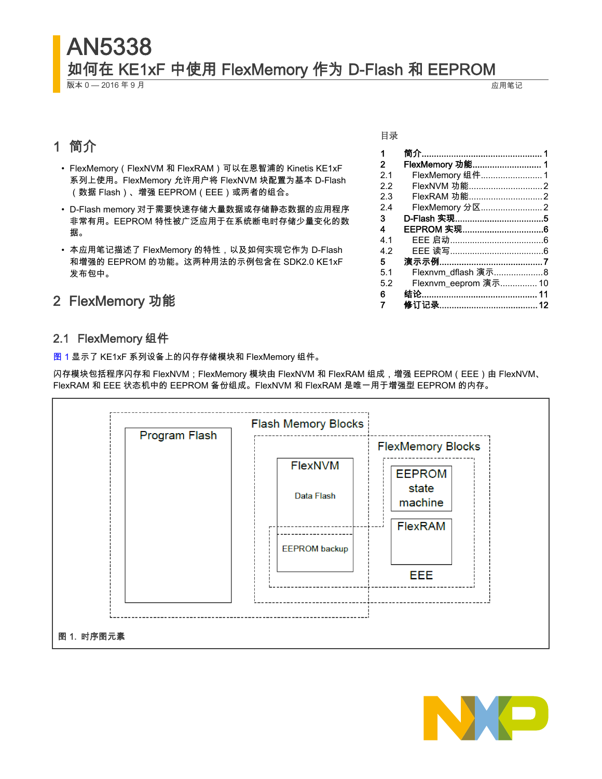# AN5338 如何在 KE1xF 中使用 FlexMemory 作为 D-Flash 和 EEPROM

版本 0 — 2016 年 9 月 应用笔记

# 1 简介

- FlexMemory(FlexNVM 和 FlexRAM)可以在恩智浦的 Kinetis KE1xF 系列上使用。FlexMemory 允许用户将 FlexNVM 块配置为基本 D-Flash (数据 Flash)、增强 EEPROM(EEE)或两者的组合。
- D-Flash memory 对于需要快速存储大量数据或存储静态数据的应用程序 非常有用。EEPROM 特性被广泛应用于在系统断电时存储少量变化的数 据。
- 本应用笔记描述了 FlexMemory 的特性,以及如何实现它作为 D-Flash 和增强的 EEPROM 的功能。这两种用法的示例包含在 SDK2.0 KE1xF 发布包中。

# 2 FlexMemory 功能

# 2.1 FlexMemory 组件

图 1 显示了 KE1xF 系列设备上的闪存存储模块和 FlexMemory 组件。

闪存模块包括程序闪存和 FlexNVM;FlexMemory 模块由 FlexNVM 和 FlexRAM 组成,增强 EEPROM(EEE)由 FlexNVM、 FlexRAM 和 EEE 状态机中的 EEPROM 备份组成。FlexNVM 和 FlexRAM 是唯一用于增强型 EEPROM 的内存。





#### 目录

| 1              |                      |  |
|----------------|----------------------|--|
| $\mathbf{2}^-$ | FlexMemory 功能 1      |  |
| 2.1            | FlexMemory 组件1       |  |
| 22             | FlexNVM 功能2          |  |
| 23             | FlexRAM 功能2          |  |
| 24             | FlexMemory 分区2       |  |
| 3              |                      |  |
| 4              | EEPROM 实现6           |  |
| 4.1            | EEE 启动………………………………6  |  |
| 4.2            |                      |  |
| 5              |                      |  |
| 5.1            | Flexnvm_dflash 演示8   |  |
| 5.2            | Flexnvm_eeprom 演示 10 |  |
| 6              |                      |  |
| 7              |                      |  |
|                |                      |  |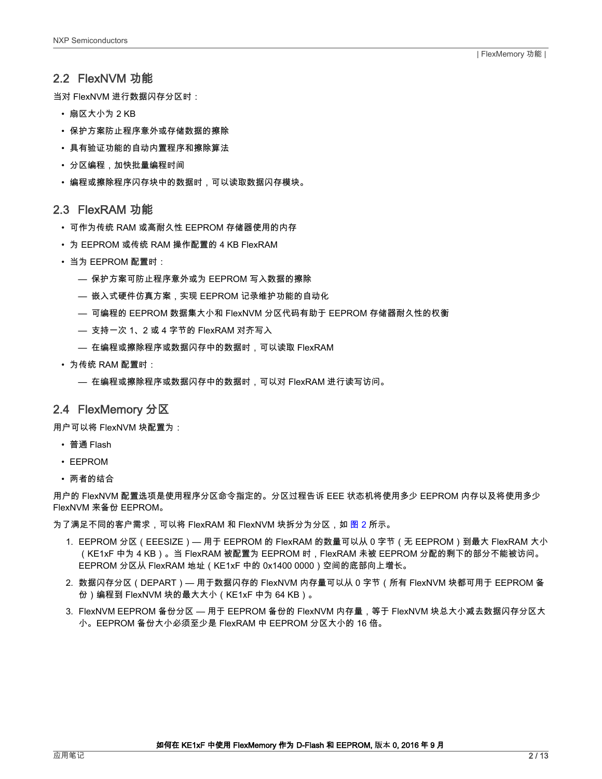### <span id="page-1-0"></span>2.2 FlexNVM 功能

当对 FlexNVM 进行数据闪存分区时:

- 扇区大小为 2 KB
- 保护方案防止程序意外或存储数据的擦除
- 具有验证功能的自动内置程序和擦除算法
- 分区编程,加快批量编程时间
- 编程或擦除程序闪存块中的数据时,可以读取数据闪存模块。

#### 2.3 FlexRAM 功能

- 可作为传统 RAM 或高耐久性 EEPROM 存储器使用的内存
- 为 EEPROM 或传统 RAM 操作配置的 4 KB FlexRAM
- 当为 EEPROM 配置时:
	- 保护方案可防止程序意外或为 EEPROM 写入数据的擦除
	- 嵌入式硬件仿真方案,实现 EEPROM 记录维护功能的自动化
	- 可编程的 EEPROM 数据集大小和 FlexNVM 分区代码有助于 EEPROM 存储器耐久性的权衡
	- 支持一次 1、2 或 4 字节的 FlexRAM 对齐写入
	- 在编程或擦除程序或数据闪存中的数据时,可以读取 FlexRAM
- 为传统 RAM 配置时:
	- 在编程或擦除程序或数据闪存中的数据时,可以对 FlexRAM 进行读写访问。

## 2.4 FlexMemory 分区

用户可以将 FlexNVM 块配置为:

- 普通 Flash
- EEPROM
- 两者的结合

用户的 FlexNVM 配置选项是使用程序分区命令指定的。分区过程告诉 EEE 状态机将使用多少 EEPROM 内存以及将使用多少 FlexNVM 来备份 EEPROM。

为了满足不同的客户需求,可以将 FlexRAM 和 FlexNVM 块拆分为分区,如 <mark>图</mark> 2 所示。

- 1. EEPROM 分区(EEESIZE)— 用于 EEPROM 的 FlexRAM 的数量可以从 0 字节(无 EEPROM)到最大 FlexRAM 大小 (KE1xF 中为 4 KB)。当 FlexRAM 被配置为 EEPROM 时,FlexRAM 未被 EEPROM 分配的剩下的部分不能被访问。 EEPROM 分区从 FlexRAM 地址(KE1xF 中的 0x1400 0000)空间的底部向上增长。
- 2. 数据闪存分区(DEPART)— 用于数据闪存的 FlexNVM 内存量可以从 0 字节(所有 FlexNVM 块都可用于 EEPROM 备 份)编程到 FlexNVM 块的最大大小(KE1xF 中为 64 KB)。
- 3. FlexNVM EEPROM 备份分区 用于 EEPROM 备份的 FlexNVM 内存量,等于 FlexNVM 块总大小减去数据闪存分区大 小。EEPROM 备份大小必须至少是 FlexRAM 中 EEPROM 分区大小的 16 倍。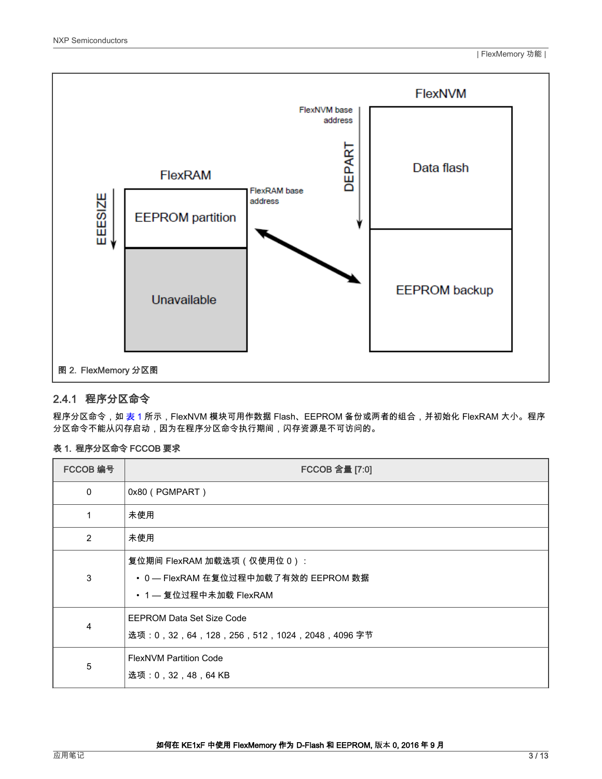<span id="page-2-0"></span>

#### 2.4.1 程序分区命令

程序分区命令,如 表 1 所示,FlexNVM 模块可用作数据 Flash、EEPROM 备份或两者的组合,并初始化 FlexRAM 大小。程序 分区命令不能从闪存启动,因为在程序分区命令执行期间,闪存资源是不可访问的。

#### 表 1. 程序分区命令 FCCOB 要求

| FCCOB 编号    | FCCOB 含量 [7:0]                                                                               |
|-------------|----------------------------------------------------------------------------------------------|
| $\mathbf 0$ | 0x80 (PGMPART)                                                                               |
| 1           | 未使用                                                                                          |
| 2           | 未使用                                                                                          |
| 3           | 复位期间 FlexRAM 加载选项(仅使用位 0):<br>• 0 — FlexRAM 在复位过程中加载了有效的 EEPROM 数据<br>• 1 — 复位过程中未加载 FlexRAM |
| 4           | <b>EEPROM Data Set Size Code</b><br>选项:0,32,64,128,256,512,1024,2048,4096 字节                 |
| 5           | <b>FlexNVM Partition Code</b><br>选项:0,32,48,64 KB                                            |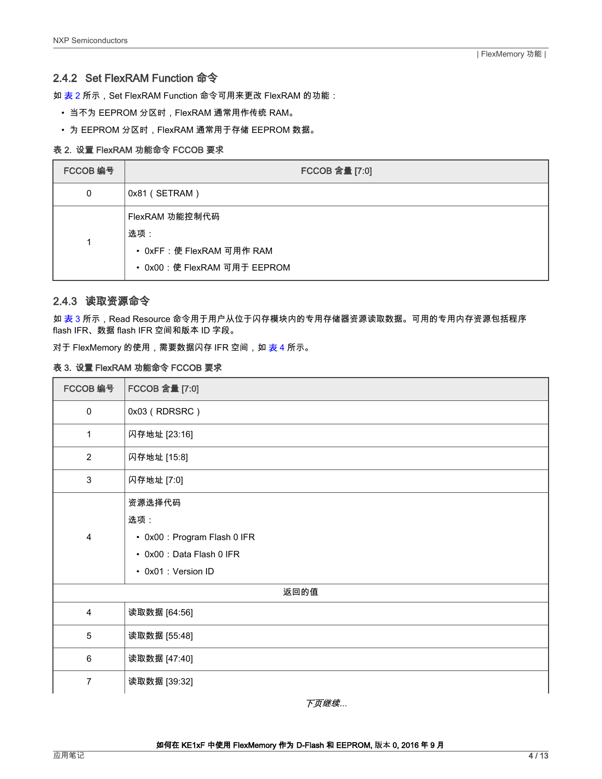### 2.4.2 Set FlexRAM Function 命令

如 表 2 所示,Set FlexRAM Function 命令可用来更改 FlexRAM 的功能:

- 当不为 EEPROM 分区时,FlexRAM 通常用作传统 RAM。
- 为 EEPROM 分区时,FlexRAM 通常用于存储 EEPROM 数据。

#### 表 2. 设置 FlexRAM 功能命令 FCCOB 要求

| FCCOB 编号 | FCCOB 含量 [7:0]                                                                     |
|----------|------------------------------------------------------------------------------------|
| 0        | 0x81 (SETRAM)                                                                      |
|          | FlexRAM 功能控制代码<br>选项:<br>• 0xFF: 使 FlexRAM 可用作 RAM<br>• 0x00: 使 FlexRAM 可用于 EEPROM |

### 2.4.3 读取资源命令

如 表 3 所示,Read Resource 命令用于用户从位于闪存模块内的专用存储器资源读取数据。可用的专用内存资源包括程序 flash IFR、数据 flash IFR 空间和版本 ID 字段。

对于 FlexMemory 的使用,需要数据闪存 IFR 空间,如 [表](#page-4-0) 4 所示。

#### 表 3. 设置 FlexRAM 功能命令 FCCOB 要求

| FCCOB 编号                | FCCOB 含量 [7:0]                                                                                    |  |
|-------------------------|---------------------------------------------------------------------------------------------------|--|
| $\pmb{0}$               | 0x03 (RDRSRC)                                                                                     |  |
| 1                       | 闪存地址 [23:16]                                                                                      |  |
| $\overline{2}$          | 闪存地址 [15:8]                                                                                       |  |
| 3                       | 闪存地址 [7:0]                                                                                        |  |
| $\overline{\mathbf{4}}$ | 资源选择代码<br>选项:<br>• 0x00 : Program Flash 0 IFR<br>• 0x00 : Data Flash 0 IFR<br>• 0x01 : Version ID |  |
| 返回的值                    |                                                                                                   |  |
| 4                       | 读取数据 [64:56]                                                                                      |  |
| 5                       | 读取数据 [55:48]                                                                                      |  |
| 6                       | 读取数据 [47:40]                                                                                      |  |
| $\overline{7}$          | 读取数据 [39:32]                                                                                      |  |

下页继续...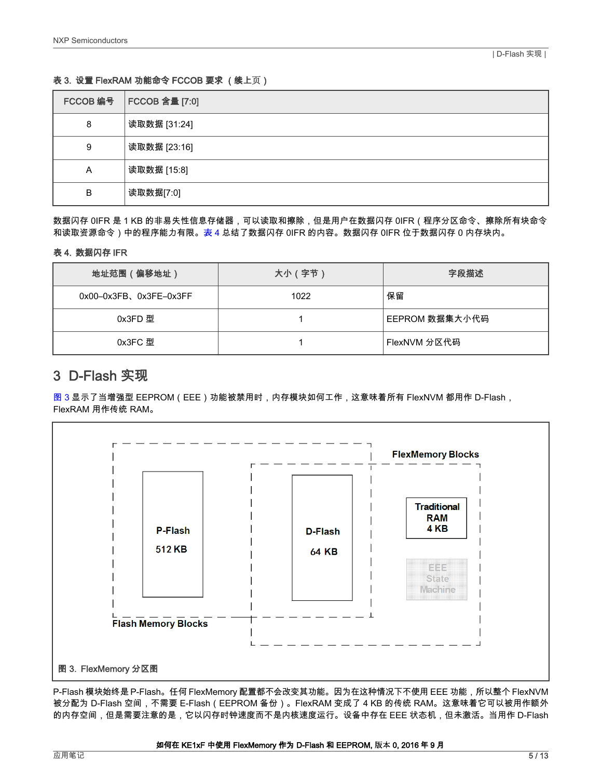#### <span id="page-4-0"></span>表 3. 设置 FlexRAM 功能命令 FCCOB 要求 (续上页)

| FCCOB 编号 | <b>FCCOB 含量 [7:0]</b> |
|----------|-----------------------|
| 8        | 读取数据 [31:24]          |
| 9        | 读取数据 [23:16]          |
| Α        | 读取数据 [15:8]           |
| B        | 读取数据[7:0]             |

数据闪存 0IFR 是 1 KB 的非易失性信息存储器,可以读取和擦除,但是用户在数据闪存 0IFR(程序分区命令、擦除所有块命令 和读取资源命令)中的程序能力有限。表 4 总结了数据闪存 0IFR 的内容。数据闪存 0IFR 位于数据闪存 0 内存块内。

#### 表 4. 数据闪存 IFR

| 地址范围(偏移地址)                   | 大小 (字节) | 字段描述           |
|------------------------------|---------|----------------|
| $0x00-0x3FB$ , $0x3FE-0x3FF$ | 1022    | 保留             |
| 0x3FD 型                      |         | EEPROM 数据集大小代码 |
| 0x3FC 型                      |         | FlexNVM 分区代码   |

# 3 D-Flash 实现

图 3 显示了当增强型 EEPROM(EEE)功能被禁用时,内存模块如何工作,这意味着所有 FlexNVM 都用作 D-Flash, FlexRAM 用作传统 RAM。



P-Flash 模块始终是 P-Flash。任何 FlexMemory 配置都不会改变其功能。因为在这种情况下不使用 EEE 功能,所以整个 FlexNVM 被分配为 D-Flash 空间,不需要 E-Flash(EEPROM 备份)。FlexRAM 变成了 4 KB 的传统 RAM。这意味着它可以被用作额外 的内存空间,但是需要注意的是,它以闪存时钟速度而不是内核速度运行。设备中存在 EEE 状态机,但未激活。当用作 D-Flash

#### 如何在 KE1xF 中使用 FlexMemory 作为 D-Flash 和 EEPROM, 版本 0, 2016 年 9 月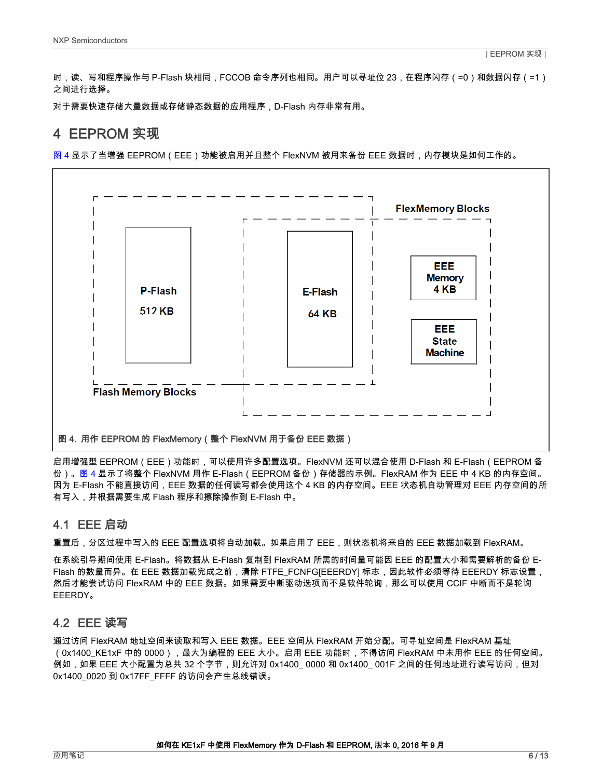<span id="page-5-0"></span>时,读、写和程序操作与 P-Flash 块相同,FCCOB 命令序列也相同。用户可以寻址位 23,在程序闪存(=0)和数据闪存(=1) 之间进行选择。

对于需要快速存储大量数据或存储静态数据的应用程序,D-Flash 内存非常有用。

# 4 EEPROM 实现

图 4 显示了当增强 EEPROM(EEE)功能被启用并且整个 FlexNVM 被用来备份 EEE 数据时,内存模块是如何工作的。



启用增强型 EEPROM(EEE)功能时,可以使用许多配置选项。FlexNVM 还可以混合使用 D-Flash 和 E-Flash(EEPROM 备 份)。图 4 显示了将整个 FlexNVM 用作 E-Flash(EEPROM 备份)存储器的示例。FlexRAM 作为 EEE 中 4 KB 的内存空间。 因为 E-Flash 不能直接访问,EEE 数据的任何读写都会使用这个 4 KB 的内存空间。EEE 状态机自动管理对 EEE 内存空间的所 有写入,并根据需要生成 Flash 程序和擦除操作到 E-Flash 中。

## 4.1 EEE 启动

重置后,分区过程中写入的 EEE 配置选项将自动加载。如果启用了 EEE,则状态机将来自的 EEE 数据加载到 FlexRAM。

在系统引导期间使用 E-Flash。将数据从 E-Flash 复制到 FlexRAM 所需的时间量可能因 EEE 的配置大小和需要解析的备份 E-Flash 的数量而异。在 EEE 数据加载完成之前,清除 FTFE\_FCNFG[EEERDY] 标志,因此软件必须等待 EEERDY 标志设置, 然后才能尝试访问 FlexRAM 中的 EEE 数据。如果需要中断驱动选项而不是软件轮询,那么可以使用 CCIF 中断而不是轮询 EEERDY。

## 4.2 EEE 读写

通过访问 FlexRAM 地址空间来读取和写入 EEE 数据。EEE 空间从 FlexRAM 开始分配。可寻址空间是 FlexRAM 基址 (0x1400\_KE1xF 中的 0000),最大为编程的 EEE 大小。启用 EEE 功能时,不得访问 FlexRAM 中未用作 EEE 的任何空间。 例如,如果 EEE 大小配置为总共 32 个字节,则允许对 0x1400\_ 0000 和 0x1400\_ 001F 之间的任何地址进行读写访问,但对 0x1400\_0020 到 0x17FF\_FFFF 的访问会产生总线错误。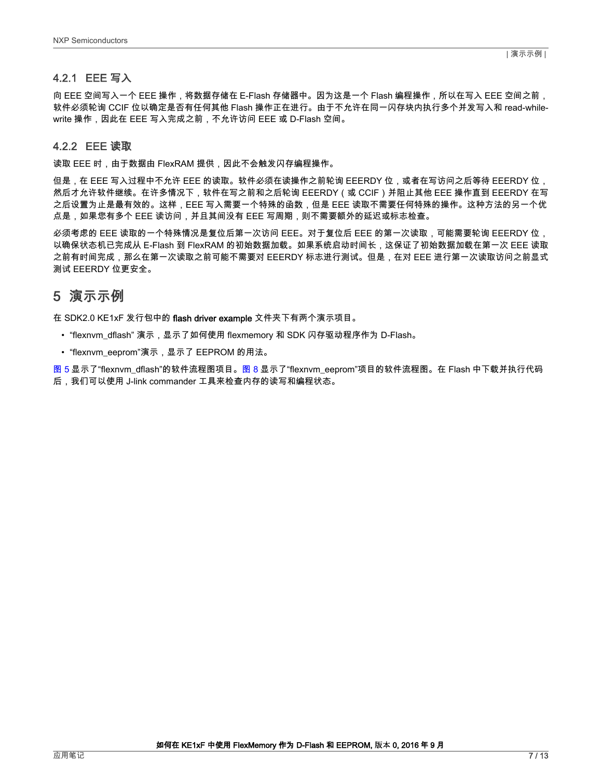#### <span id="page-6-0"></span>4.2.1 EEE 写入

向 EEE 空间写入一个 EEE 操作,将数据存储在 E-Flash 存储器中。因为这是一个 Flash 编程操作,所以在写入 EEE 空间之前, 软件必须轮询 CCIF 位以确定是否有任何其他 Flash 操作正在进行。由于不允许在同一闪存块内执行多个并发写入和 read-whilewrite 操作,因此在 EEE 写入完成之前,不允许访问 EEE 或 D-Flash 空间。

#### 4.2.2 EEE 读取

读取 EEE 时,由于数据由 FlexRAM 提供,因此不会触发闪存编程操作。

但是,在 EEE 写入过程中不允许 EEE 的读取。软件必须在读操作之前轮询 EEERDY 位,或者在写访问之后等待 EEERDY 位, 然后才允许软件继续。在许多情况下,软件在写之前和之后轮询 EEERDY(或 CCIF)并阻止其他 EEE 操作直到 EEERDY 在写 之后设置为止是最有效的。这样,EEE 写入需要一个特殊的函数,但是 EEE 读取不需要任何特殊的操作。这种方法的另一个优 点是,如果您有多个 EEE 读访问,并且其间没有 EEE 写周期,则不需要额外的延迟或标志检查。

必须考虑的 EEE 读取的一个特殊情况是复位后第一次访问 EEE。对于复位后 EEE 的第一次读取,可能需要轮询 EEERDY 位, 以确保状态机已完成从 E-Flash 到 FlexRAM 的初始数据加载。如果系统启动时间长,这保证了初始数据加载在第一次 EEE 读取 之前有时间完成,那么在第一次读取之前可能不需要对 EEERDY 标志进行测试。但是,在对 EEE 进行第一次读取访问之前显式 测试 EEERDY 位更安全。

# 5 演示示例

在 SDK2.0 KE1xF 发行包中的 flash driver example 文件夹下有两个演示项目。

- "flexnvm\_dflash" 演示,显示了如何使用 flexmemory 和 SDK 闪存驱动程序作为 D-Flash。
- "flexnvm\_eeprom"演示,显示了 EEPROM 的用法。

[图 5](#page-7-0) 显示了"flexnvm\_dflash"的软件流程图项目[。图 8](#page-9-0) 显示了"flexnvm\_eeprom"项目的软件流程图。在 Flash 中下载并执行代码 后,我们可以使用 J-link commander 工具来检查内存的读写和编程状态。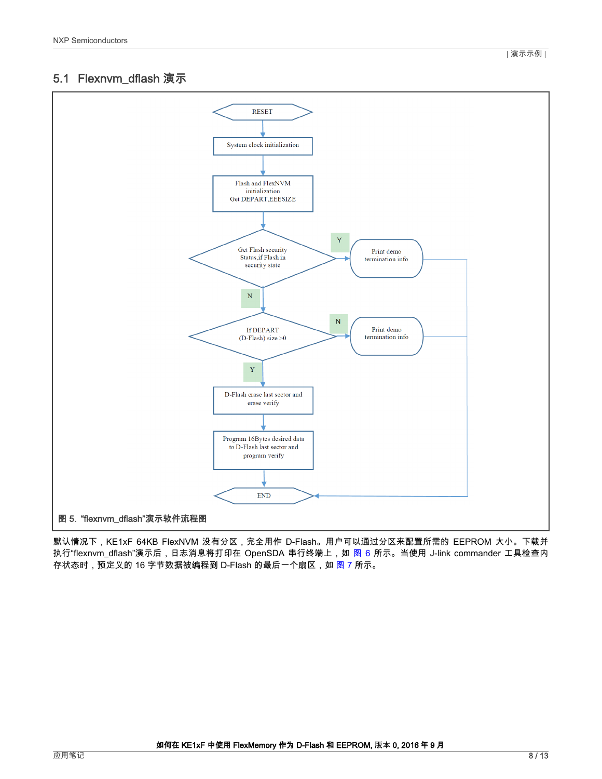# <span id="page-7-0"></span>5.1 Flexnvm\_dflash 演示



默认情况下,KE1xF 64KB FlexNVM 没有分区,完全用作 D-Flash。用户可以通过分区来配置所需的 EEPROM 大小。下载并 执行"flexnvm\_dflash"演示后,日志消息将打印在 OpenSDA 串行终端上,如 [图 6](#page-8-0) 所示。当使用 J-link commander 工具检查内 存状态时,预定义的 16 字节数据被编程到 D-Flash 的最后一个扇区,如 [图 7](#page-8-0) 所示。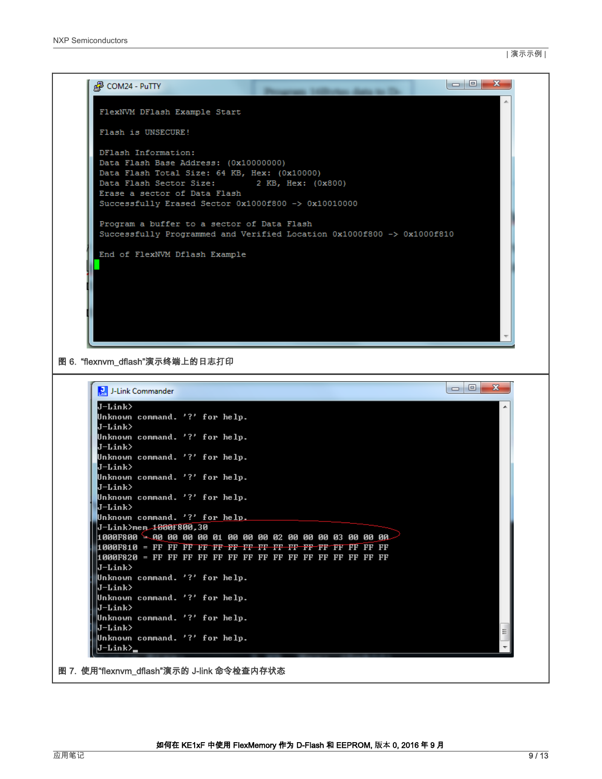<span id="page-8-0"></span>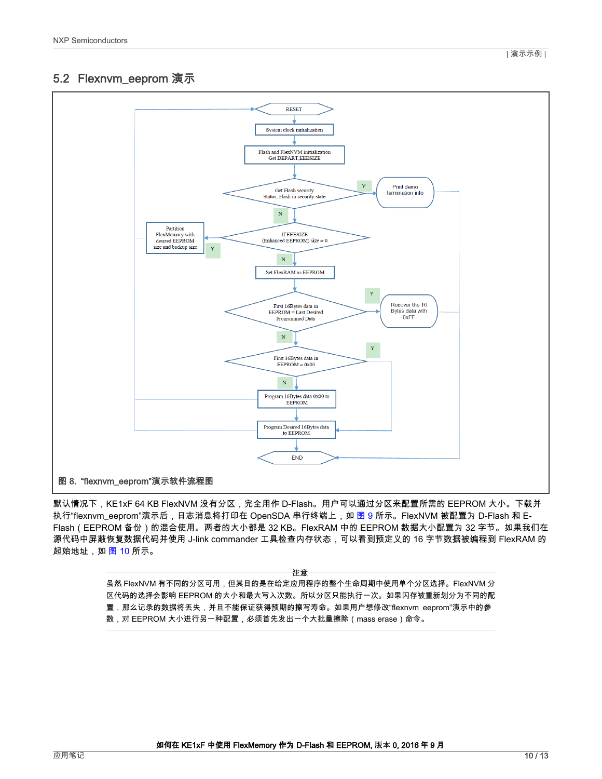# <span id="page-9-0"></span>5.2 Flexnvm\_eeprom 演示



默认情况下,KE1xF 64 KB FlexNVM 没有分区,完全用作 D-Flash。用户可以通过分区来配置所需的 EEPROM 大小。下载并 执行"flexnvm\_eeprom"演示后,日志消息将打印在 OpenSDA 串行终端上,如 [图 9](#page-10-0) 所示。FlexNVM 被配置为 D-Flash 和 E-Flash(EEPROM 备份)的混合使用。两者的大小都是 32 KB。FlexRAM 中的 EEPROM 数据大小配置为 32 字节。如果我们在 源代码中屏蔽恢复数据代码并使用 J-link commander 工具检查内存状态,可以看到预定义的 16 字节数据被编程到 FlexRAM 的 起始地址,如 [图 10](#page-10-0) 所示。

注意

虽然 FlexNVM 有不同的分区可用,但其目的是在给定应用程序的整个生命周期中使用单个分区选择。FlexNVM 分 区代码的选择会影响 EEPROM 的大小和最大写入次数。所以分区只能执行一次。如果闪存被重新划分为不同的配 置,那么记录的数据将丢失,并且不能保证获得预期的擦写寿命。如果用户想修改"flexnvm\_eeprom"演示中的参 数,对 EEPROM 大小进行另一种配置,必须首先发出一个大批量擦除(mass erase)命令。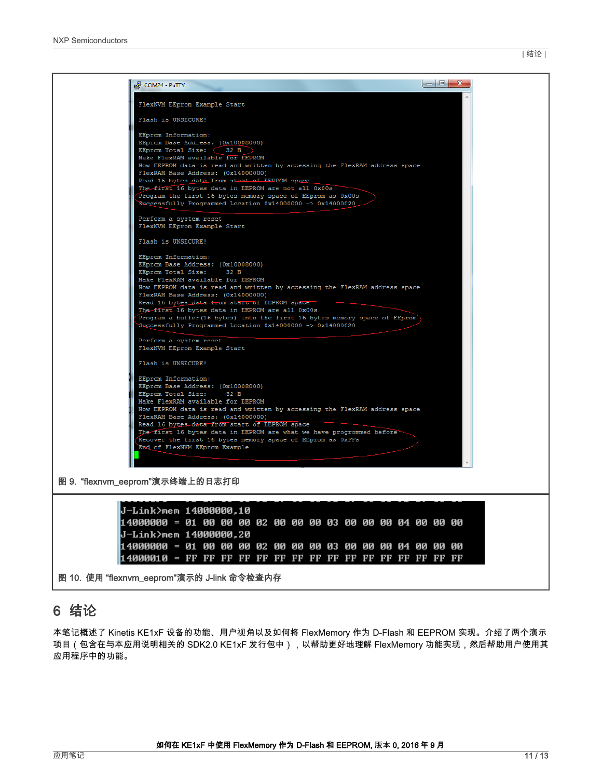<span id="page-10-0"></span>

# 6 结论

本笔记概述了 Kinetis KE1xF 设备的功能、用户视角以及如何将 FlexMemory 作为 D-Flash 和 EEPROM 实现。介绍了两个演示 项目(包含在与本应用说明相关的 SDK2.0 KE1xF 发行包中),以帮助更好地理解 FlexMemory 功能实现,然后帮助用户使用其 应用程序中的功能。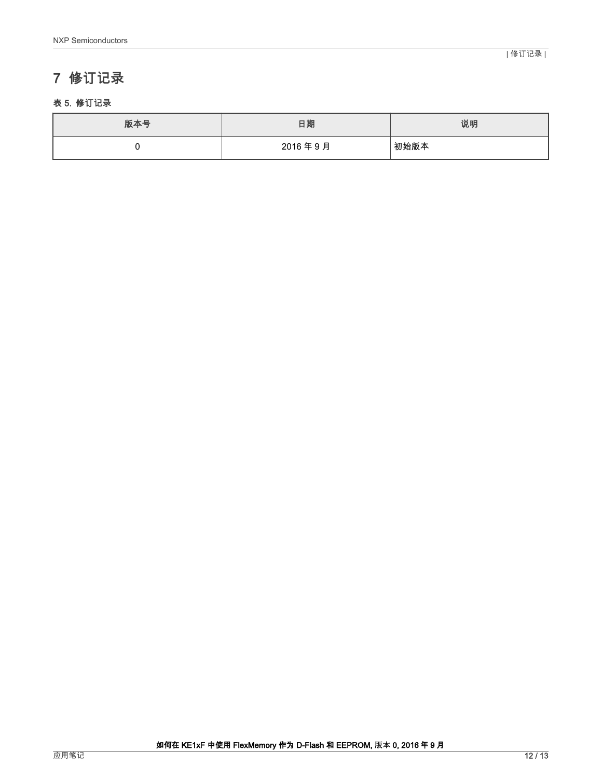# <span id="page-11-0"></span>7 修订记录

#### 表 5. 修订记录

| 版本号 | 日期      | 说明   |
|-----|---------|------|
|     | 2016年9月 | 初始版本 |